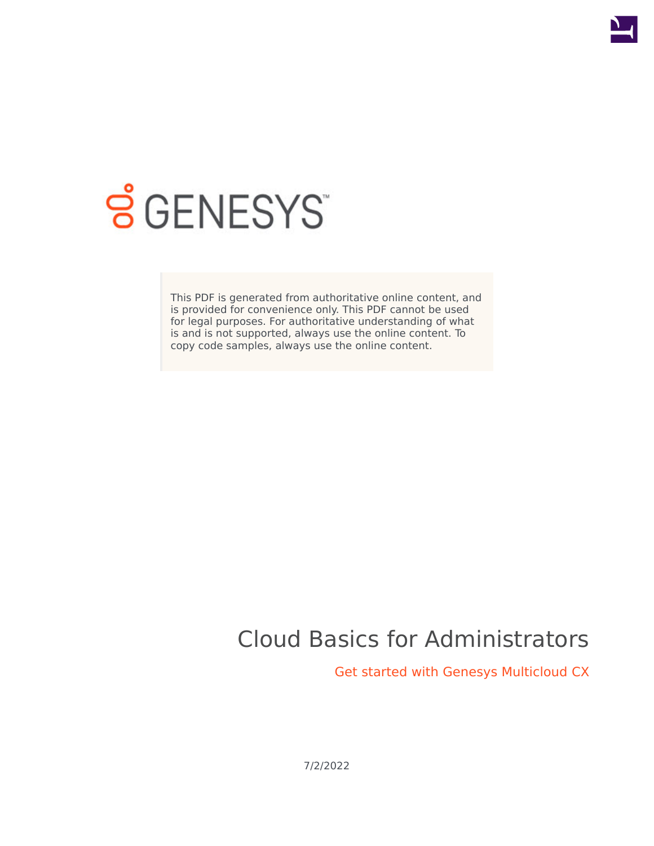

# **SGENESYS**

This PDF is generated from authoritative online content, and is provided for convenience only. This PDF cannot be used for legal purposes. For authoritative understanding of what is and is not supported, always use the online content. To copy code samples, always use the online content.

# Cloud Basics for Administrators

Get started with Genesys Multicloud CX

7/2/2022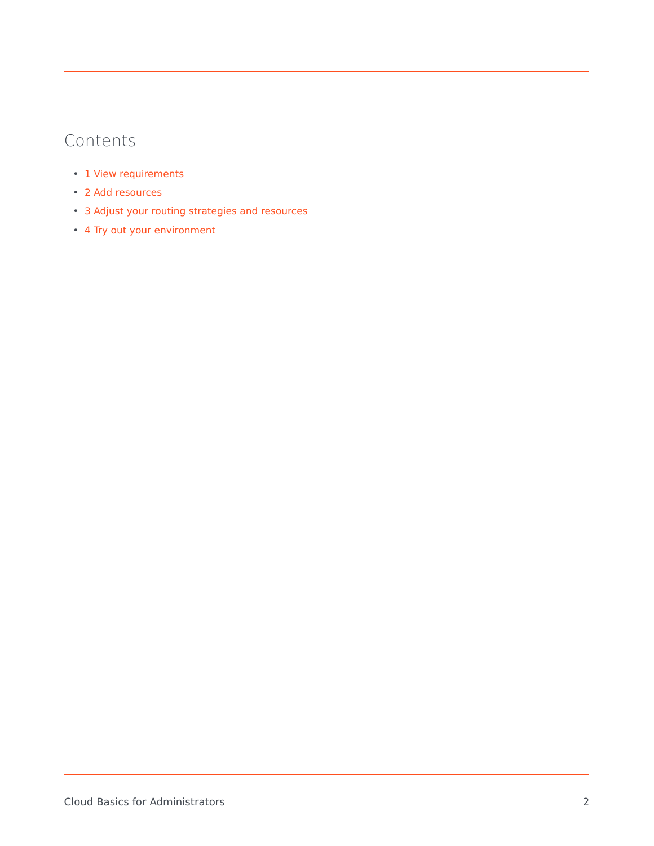## Contents

- 1 [View requirements](#page-2-0)
- 2 [Add resources](#page-2-1)
- 3 [Adjust your routing strategies and resources](#page-3-0)
- 4 [Try out your environment](#page-3-1)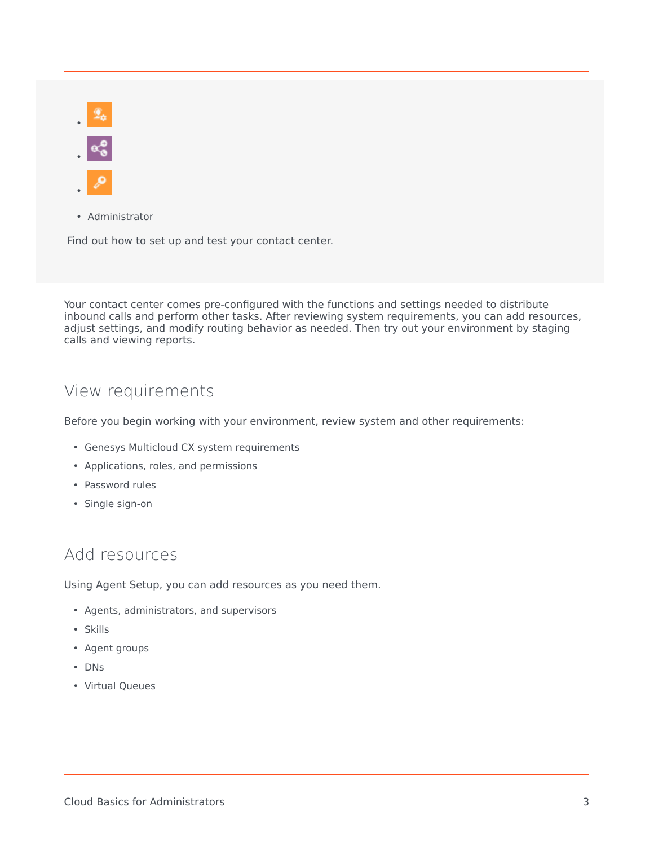• •

•

• Administrator

Find out how to set up and test your contact center.

Your contact center comes pre-configured with the functions and settings needed to distribute inbound calls and perform other tasks. After reviewing system requirements, you can add resources, adjust settings, and modify routing behavior as needed. Then try out your environment by staging calls and viewing reports.

#### <span id="page-2-0"></span>View requirements

Before you begin working with your environment, review system and other requirements:

- Genesys Multicloud CX system requirements
- Applications, roles, and permissions
- Password rules
- Single sign-on

#### <span id="page-2-1"></span>Add resources

Using Agent Setup, you can add resources as you need them.

- Agents, administrators, and supervisors
- Skills
- Agent groups
- DNs
- Virtual Queues